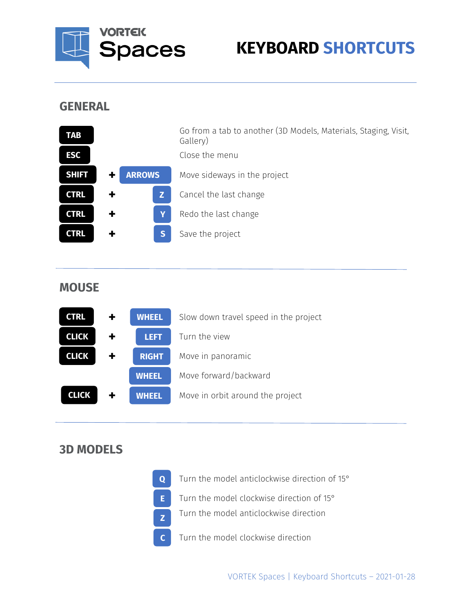

# **KEYBOARD SHORTCUTS**

### **GENERAL**

| <b>TAB</b>   |                         | Go from a tab to another (3D Models, Materials, Staging, Visit,<br>Gallery) |
|--------------|-------------------------|-----------------------------------------------------------------------------|
| <b>ESC</b>   |                         | Close the menu                                                              |
| <b>SHIFT</b> | <b>ARROWS</b>           | Move sideways in the project                                                |
| <b>CTRL</b>  | z                       | Cancel the last change                                                      |
| <b>CTRL</b>  | Y                       | Redo the last change                                                        |
| <b>CTRL</b>  | $\overline{\mathbf{S}}$ | Save the project                                                            |

### **MOUSE**



### **3D MODELS**

| $\mathbf{O}$ | Turn the model anticlockwise direction of 15°      |
|--------------|----------------------------------------------------|
|              | <b>E</b> Turn the model clockwise direction of 15° |
|              | Turn the model anticlockwise direction             |
|              | Turn the model clockwise direction                 |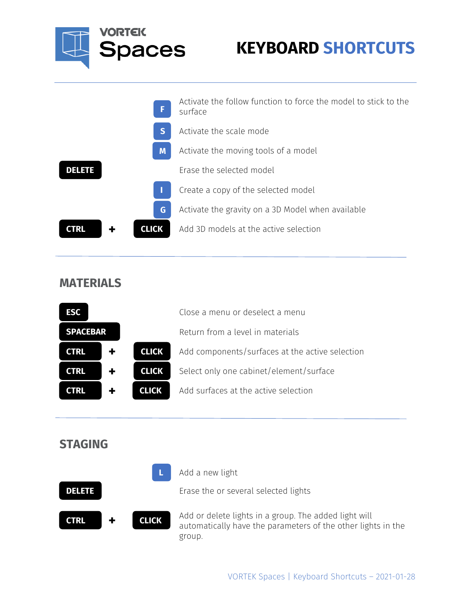

| F                           | Activate the follow function to force the model to stick to the<br>surface |
|-----------------------------|----------------------------------------------------------------------------|
| S                           | Activate the scale mode                                                    |
| M                           | Activate the moving tools of a model                                       |
| <b>DELETE</b>               | Erase the selected model                                                   |
|                             | Create a copy of the selected model                                        |
| G                           | Activate the gravity on a 3D Model when available                          |
| <b>CTRL</b><br><b>CLICK</b> | Add 3D models at the active selection                                      |
|                             |                                                                            |

### **MATERIALS**

| <b>ESC</b>      |  |              | Close a menu or deselect a menu                 |
|-----------------|--|--------------|-------------------------------------------------|
| <b>SPACEBAR</b> |  |              | Return from a level in materials                |
| <b>CTRL</b>     |  | <b>CLICK</b> | Add components/surfaces at the active selection |
| <b>CTRL</b>     |  | <b>CLICK</b> | Select only one cabinet/element/surface         |
| CTRL            |  | <b>CLICK</b> | Add surfaces at the active selection            |

| <b>STAGING</b>              |                                                                                                                                 |
|-----------------------------|---------------------------------------------------------------------------------------------------------------------------------|
| <b>DELETE</b>               | Add a new light<br>Erase the or several selected lights                                                                         |
| <b>CLICK</b><br><b>CTRL</b> | Add or delete lights in a group. The added light will<br>automatically have the parameters of the other lights in the<br>group. |